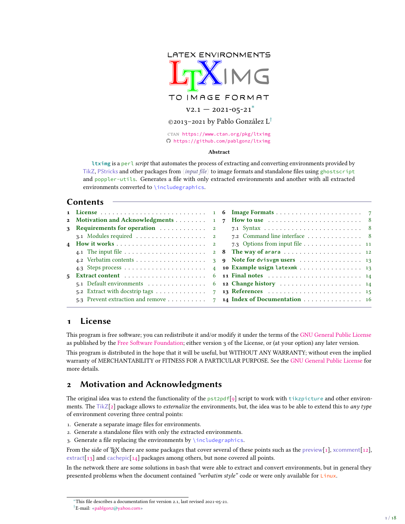<span id="page-0-2"></span>

Github <https://github.com/pablgonz/ltximg>

#### **Abstract**

**ltximg** is a perl *script* that automates the process of extracting and converting environments provided by TikZ, PStricks and other packages from 〈*input file*〉 to image formats and standalone files using ghostscript and poppler-utils. Generates a file with only extracted environments and another with all extracted environments converted to \includegraphics.

# **Contents**

| <b>2</b> Motivation and Acknowledgments 1                | $7\overline{ }$ | How to use $\ldots \ldots \ldots \ldots \ldots \ldots \ldots \ldots 8$ |  |
|----------------------------------------------------------|-----------------|------------------------------------------------------------------------|--|
|                                                          |                 |                                                                        |  |
| 3.1 Modules required 2                                   |                 | 7.2 Command line interface  8                                          |  |
|                                                          |                 | 7.3 Options from input file 11                                         |  |
|                                                          |                 |                                                                        |  |
|                                                          |                 |                                                                        |  |
|                                                          |                 | 4 10 Example usign latexmk 13                                          |  |
|                                                          |                 | 6 <b>11 Final notes</b> 14                                             |  |
| 5.1 Default environments                                 |                 | 6 <b>12 Change history</b> 14                                          |  |
| 5.2 Extract with docstrip tags $\dots \dots \dots \dots$ |                 | 7 <b>13 References</b> 15                                              |  |
| 5.3 Prevent extraction and remove                        |                 | 7 14 Index of Documentation 16                                         |  |

# <span id="page-0-0"></span>**1 License**

This program is free software; you can redistribute it and/or modify it under the terms of the [GNU General Public License](https://www.gnu.org/licenses/gpl-3.0.html) as published by the [Free Software Foundation;](https://www.fsf.org/) either version 3 of the License, or (at your option) any later version.

This program is distributed in the hope that it will be useful, but WITHOUT ANY WARRANTY; without even the implied warranty of MERCHANTABILITY or FITNESS FOR A PARTICULAR PURPOSE. See the [GNU General Public License](https://www.gnu.org/licenses/gpl-3.0.html) for more details.

# <span id="page-0-1"></span>**2 Motivation and Acknowledgments**

The original idea was to extend the functionality of the  $pstepdf[g]$  script to work with  $t$ ikzpicture and other environments. The TikZ[\[2\]](#page-14-2) package allows to *externalize* the environments, but, the idea was to be able to extend this to *any type* of environment covering three central points:

- 1. Generate a separate image files for environments.
- 2. Generate a standalone files with only the extracted environments.
- 3. Generate a file replacing the environments by  $\int$ includegraphics.

From the side of TEX there are some packages that cover several of these points such as the preview[\[1\]](#page-14-3), xcomment[\[12\]](#page-14-4), extract[\[13\]](#page-14-5) and cachepic[\[14\]](#page-14-6) packages among others, but none covered all points.

In the network there are some solutions in bash that were able to extract and convert environments, but in general they presented problems when the document contained *"verbatim style"* code or were only available for Linux.

<sup>∗</sup>This file describes a documentation for version 2.1, last revised 2021-05-21. †E-mail: [«pablgonz@yahoo.com»](mailto:pablgonz@yahoo.com)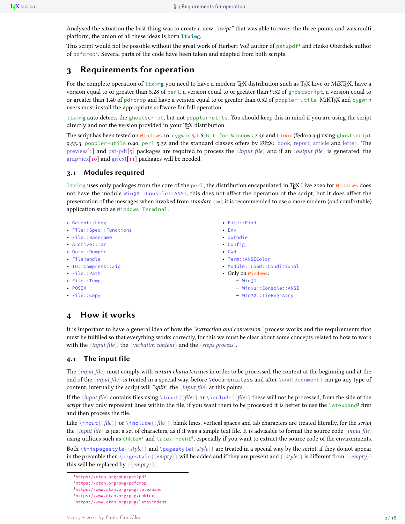<span id="page-1-9"></span>Analysed the situation the best thing was to create a new *"script"* that was able to cover the three points and was multi platform, the union of all these ideas is born **ltximg**.

This script would not be possible without the great work of Herbert Voß author of pst2pdf<sup>[1](#page-1-4)</sup> and Heiko Oberdiek author of pdfcrop<sup>[2](#page-1-5)</sup>. Several parts of the code have been taken and adapted from both scripts.

# <span id="page-1-0"></span>**3 Requirements for operation**

For the complete operation of *ltximg* you need to have a modern T<sub>E</sub>X distribution such as T<sub>E</sub>X Live or MiKT<sub>E</sub>X, have a version equal to or greater than 5.28 of perl, a version equal to or greater than 9.52 of ghostscript, a version equal to or greater than 1.40 of pdfcrop and have a version equal to or greater than 0.52 of poppler-utils. MiKTEX and cygwin users must install the appropriate software for full operation.

**ltximg** auto detects the ghostscript, but not poppler-utils. You should keep this in mind if you are using the script directly and not the version provided in your TEX distribution.

The script has been tested on Windows 10, cygwin 3.1.6, Git for Windows 2.30 and Linux (fedora 34) using ghostscript 9.53.3, poppler-utils 0.90, perl 5.32 and the standard classes offers by LATEX: book, report, article and letter. The preview[\[1\]](#page-14-3) and pst-pdf[\[5\]](#page-14-7) packages are required to process the 〈*input file*〉 and if an 〈*output file*〉 is generated, the graphicx[\[10\]](#page-14-8) and grfext[\[11\]](#page-14-9) packages will be needed.

#### <span id="page-1-1"></span>**3.1 Modules required**

**ltximg** uses only packages from the core of the perl, the distribution encapsulated in TEX Live 2020 for Windows does not have the module Win32::Console::ANSI, this does not affect the operation of the script, but it does affect the presentation of the messages when invoked from *standart* cmd, it is recommended to use a more modern (and comfortable) application such as Windows Terminal.

- Getopt::Long
- File::Spec::Functions
- File::Basename
- Archive::Tar
- Data::Dumper
- FileHandle
- IO::Compress::Zip
- File::Path
- File::Temp
- POSIX
- File::Copy
- File::Find
- Env
- autodie
- Config
- Cwd
- Term::ANSIColor
- Module::Load::Conditional
- Only on Windows:
	- **–** Win32
	- **–** Win32::Console::ANSI
	- **–** Win32::TieRegistry

# <span id="page-1-2"></span>**4 How it works**

It is important to have a general idea of how the *"extraction and conversion"* process works and the requirements that must be fulfilled so that everything works correctly, for this we must be clear about some concepts related to how to work with the 〈*input file*〉, the 〈*verbatim content*〉 and the 〈*steps process*〉.

## <span id="page-1-3"></span>**4.1 The input file**

The 〈*input file*〉 must comply with *certain characteristics* in order to be processed, the content at the beginning and at the end of the *(input file)* is treated in a special way, before *\documentclass and after \end{document}* can go any type of content, internally the script will *"split"* the 〈*input file*〉 at this points.

If the  $\langle input file \rangle$  contains files using  $\in_{\{fle\}}$  or  $\in_{\{fle\}}$  these will not be processed, from the side of the *script* they only represent lines within the file, if you want them to be processed it is better to use the latexpand<sup>[3](#page-1-6)</sup> first and then process the file.

Like \input{〈*file*〉} or \include{〈*file*〉}, blank lines, vertical spaces and tab characters are treated literally, for the *script* the 〈*input file*〉 is just a set of characters, as if it was a simple text file. It is advisable to format the source code 〈*input file*〉 using utilities such as chktex<sup>[4](#page-1-7)</sup> and latexindent<sup>[5](#page-1-8)</sup>, especially if you want to extract the source code of the environments.

Both  $\theta$  \thispagestyle{ $\langle$ *style*} and  $\angle$ pagestyle{ $\langle$ *style*}} are treated in a special way by the script, if they do not appear in the preamble then  $\text{page{}\{\emptyset\}$  will be added and if they are present and  $\{\langle style\rangle\}$  is different from  $\{\langle empty\rangle\}$ this will be replaced by  $\{\langle \text{empty} \rangle\}.$ 

- <span id="page-1-5"></span><sup>2</sup><https://ctan.org/pkg/pdfcrop>
- <span id="page-1-6"></span><sup>3</sup><https://www.ctan.org/pkg/latexpand>
- <span id="page-1-7"></span><sup>4</sup><https://www.ctan.org/pkg/chktex>
- <span id="page-1-8"></span><sup>5</sup><https://www.ctan.org/pkg/latexindent>

<span id="page-1-4"></span><sup>1</sup><https://ctan.org/pkg/pst2pdf>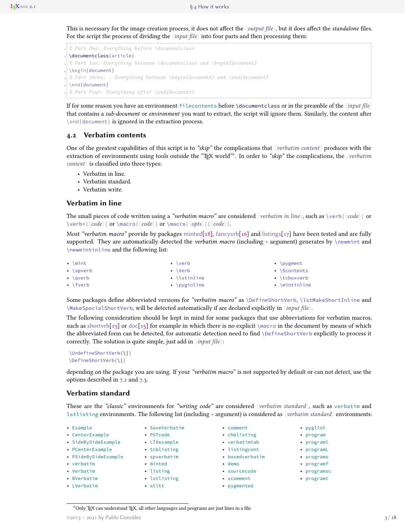<span id="page-2-2"></span>This is necessary for the image creation process, it does not affect the 〈*output file*〉, but it does affect the *standalone* files. For the script the process of dividing the 〈*input file*〉 into four parts and then processing them:

```
1 % Part One: Everything before \documentclass
 2 \documentclass{article}
 3 % Part two: Everything between \documentclass and \begin{document}
4 \begin{document}
5 % Part three: : Everything between \begin{document} and \end{document}
6 \end{document}
7 % Part Four: Everything after \end{document}
```
If for some reason you have an environment filecontents before \documentclass or in the preamble of the 〈*input file*〉 that contains a *sub-document* or *environment* you want to extract, the script will ignore them. Similarly, the content after \end{document} is ignored in the extraction process.

#### <span id="page-2-0"></span>**4.2 Verbatim contents**

One of the greatest capabilities of this script is to *"skip"* the complications that 〈*verbatim content*〉 produces with the extraction of environments using tools outside the "TEX world"[6](#page-2-1) . In order to *"skip"* the complications, the 〈*verbatim content*〉 is classified into three types:

- Verbatim in line.
- Verbatim standard.
- Verbatim write.

#### **Verbatim in line**

The small pieces of code written using a *"verbatim macro"* are considered 〈*verbatim in line*〉, such as \verb|〈*code*〉| or \verb**\***|〈*code*〉| or \macro{〈*code*〉} or \macro[〈*opts*〉]{〈*code*〉}.

Most *"verbatim macro"* provide by packages minted[\[18\]](#page-14-10), fancyvrb[\[16\]](#page-14-11) and listings[\[17\]](#page-14-12) have been tested and are fully supported. They are automatically detected the *verbatim macro* (including **\*** argument) generates by \newmint and \newmintinline and the following list:

| $\cdot$ \mint     | $\cdot$ \verb      | • $\gamma$ \pygment |
|-------------------|--------------------|---------------------|
| $\bullet$ \spverb | $\cdot$ \Verb      | • \Scontents        |
| $\bullet$ \averb  | $\cdot$ \lstinline | $\cdot$ \tcboxverb  |
| $\cdot$ \fverb    | • \pyginline       | $\cdot$ \mintinline |

Some packages define abbreviated versions for "verbatim macro" as *\DefineShortVerb, \lstMakeShortInline* and \MakeSpecialShortVerb, will be detected automatically if are declared explicitly in 〈*input file*〉.

The following consideration should be kept in mind for some packages that use abbreviations for verbatim macros, such as shortvrb[\[15\]](#page-14-13) or doc[15] for example in which there is no explicit  $\text{macro}$  in the document by means of which the abbreviated form can be detected, for automatic detection need to find \DefineShortVerb explicitly to process it correctly. The solution is quite simple, just add in 〈*input file*〉:

```
\UndefineShortVerb{\|}
\DefineShortVerb{\|}
```
depending on the package you are using. If your *"verbatim macro"* is not supported by default or can not detect, use the options described in [7.2](#page-7-2) and [7.3.](#page-10-0)

#### **Verbatim standard**

These are the *"classic"* environments for *"writing code"* are considered 〈*verbatim standard*〉, such as verbatim and lstlisting environments. The following list (including **\*** argument) is considered as 〈*verbatim standard*〉 environments:

| • Example            | • SaveVerbatim | • comment       | • pyglist          |
|----------------------|----------------|-----------------|--------------------|
| • CenterExample      | • PSTcode      | • chklisting    | $\bullet$ program  |
| · SideBySideExample  | • LTXexample   | • verbatimtab   | • programl         |
| • PCenterExample     | • tcblisting   | • listingcont   | • programL         |
| · PSideBySideExample | • spverbatim   | • boxedverbatim | • programs         |
| • verbatim           | • minted       | $\bullet$ demo  | $\bullet$ programf |
| • Verbatim           | • listing      | · sourcecode    | • programso        |
| • BVerbatim          | • lstlisting   | • xcomment      | • programt         |
| • LVerbatim          | $\cdot$ alltt  | • pygmented     |                    |
|                      |                |                 |                    |

<span id="page-2-1"></span> $6$ Only TEX can understand TEX, all other languages and programs are just lines in a file.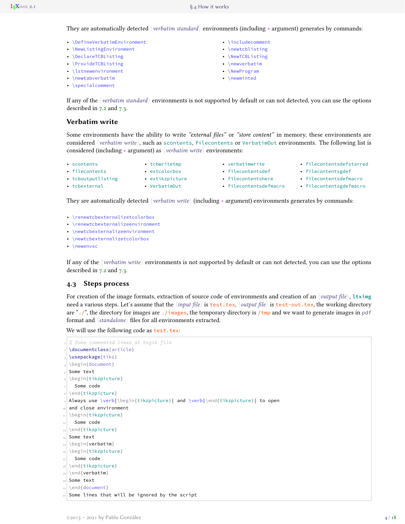<span id="page-3-1"></span>They are automatically detected 〈*verbatim standard*〉 environments (including **\*** argument) generates by commands:

- \DefineVerbatimEnvironment
- \NewListingEnvironment
- \DeclareTCBListing
- \ProvideTCBListing • \lstnewenvironment
- \newtabverbatim
- 
- \specialcomment
- \includecomment
- \newtcblisting
- \NewTCBListing
- \newverbatim
- \NewProgram • \newminted
- 

If any of the 〈*verbatim standard*〉 environments is not supported by default or can not detected, you can use the options described in [7.2](#page-7-2) and [7.3.](#page-10-0)

#### **Verbatim write**

• tcboutputlisting • tcbexternal

Some environments have the ability to write *"external files"* or *"store content"* in memory, these environments are considered *(verbatim write*), such as scontents, filecontents or VerbatimOut environments. The following list is considered (including **\*** argument) as 〈*verbatim write*〉 environments:

- scontents • filecontents
- tcbwritetmp • extcolorbox

• extikzpicture • VerbatimOut

• verbatimwrite • filecontentsdef

• filecontentshere

- filecontentsdefstarred
	- filecontentsgdef
	- filecontentsdefmacro
- filecontentsdefmacro filecontentsgdefmacro

They are automatically detected 〈*verbatim write*〉 (including **\*** argument) environments generates by commands:

- \renewtcbexternalizetcolorbox
- \renewtcbexternalizeenvironment
- \newtcbexternalizeenvironment
- \newtcbexternalizetcolorbox
- \newenvsc

If any of the 〈*verbatim write*〉 environments is not supported by default or can not detected, you can use the options described in [7.2](#page-7-2) and [7.3.](#page-10-0)

#### <span id="page-3-0"></span>**4.3 Steps process**

For creation of the image formats, extraction of source code of environments and creation of an 〈*output file*〉, **ltximg** need a various steps. Let's assume that the 〈*input file*〉 is test.tex, 〈*output file*〉 is test-out.tex, the working directory are "./", the directory for images are ./images, the temporary directory is /tmp and we want to generate images in pdf format and 〈*standalone*〉 files for all environments extracted.

We will use the following code as test.tex:

```
1 % Some commented lines at begin file
  2 \documentclass{article}
  3 \usepackage{tikz}
  4 \begin{document}
 5 Some text
6 \begin{tikzpicture}
  7 Some code
8 \end{tikzpicture}
 9 Always use \verb|\begin{tikzpicture}| and \verb|\end{tikzpicture}| to open
10 and close environment
11 \begin{tikzpicture}
12 Some code
13 \end{tikzpicture}
14 Some text
15 \begin{verbatim}
16 \begin{tikzpicture}
17 Some code
18 \end{tikzpicture}
19 \end{verbatim}
20 Some text
21 \end{document}
22 Some lines that will be ignored by the script
```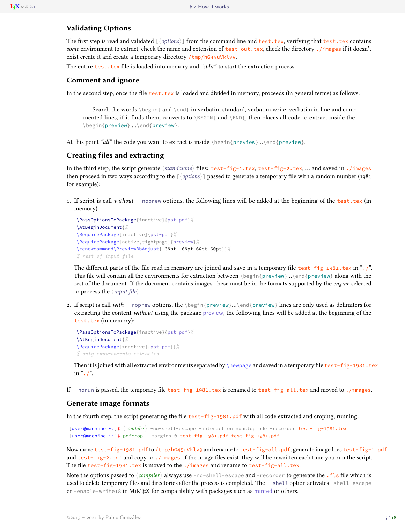#### <span id="page-4-0"></span>**Validating Options**

The first step is read and validated  $[\langle options \rangle]$  from the command line and test.tex, verifying that test.tex contains *some* environment to extract, check the name and extension of test-out.tex, check the directory ./images if it doesn't exist create it and create a temporary directory /tmp/hG45uVklv9.

The entire test.tex file is loaded into memory and *"split"* to start the extraction process.

#### **Comment and ignore**

In the second step, once the file test.tex is loaded and divided in memory, proceeds (in general terms) as follows:

Search the words \begin{ and \end{ in verbatim standard, verbatim write, verbatim in line and commented lines, if it finds them, converts to \BEGIN{ and \END{, then places all code to extract inside the \begin{preview} …\end{preview}.

At this point *"all"* the code you want to extract is inside \begin{preview}...\end{preview}.

## **Creating files and extracting**

In the third step, the script generate 〈*standalone*〉 files: test-fig-1.tex, test-fig-2.tex, … and saved in ./images then proceed in two ways according to the [〈*options*〉] passed to generate a temporary file with a random number (1981 for example):

1. If script is call *without* --noprew options, the following lines will be added at the beginning of the test.tex (in memory):

```
\PassOptionsToPackage{inactive}{pst-pdf}%
\AtBeginDocument{%
\RequirePackage[inactive]{pst-pdf}%
\RequirePackage[active,tightpage]{preview}%
\renewcommand\PreviewBbAdjust{-60pt -60pt 60pt 60pt}}%
% rest of input file
```
The different parts of the file read in memory are joined and save in a temporary file test-fig-1981.tex in "./". This file will contain all the environments for extraction between \begin{preview}…\end{preview} along with the rest of the document. If the document contains images, these must be in the formats supported by the *engine* selected to process the 〈*input file*〉.

2. If script is call *with* --noprew options, the \begin{preview}…\end{preview} lines are only used as delimiters for extracting the content *without* using the package preview, the following lines will be added at the beginning of the test.tex (in memory):

```
\PassOptionsToPackage{inactive}{pst-pdf}%
\AtBeginDocument{%
\RequirePackage[inactive]{pst-pdf}}%
% only environments extracted
```
Then it is joined with all extracted environments separated by  $\newcommand{\mbox}{m}{n}$  and saved in a temporary file test-fig-1981.tex in " $\cdot$  /".

If --norun is passed, the temporary file test-fig-1981.tex is renamed to test-fig-all.tex and moved to ./images.

#### **Generate image formats**

In the fourth step, the script generating the file test-fig-1981.pdf with all code extracted and croping, running:

[user@machine **~**:]\$ 〈*compiler*〉 -no-shell-escape -interaction=nonstopmode -recorder test-fig-1981.tex [user@machine **~**:]\$ pdfcrop --margins 0 test-fig-1981.pdf test-fig-1981.pdf

Now move test-fig-1981.pdf to /tmp/hG45uVklv9 and rename to test-fig-all.pdf, generate image files test-fig-1.pdf and test-fig-2.pdf and copy to ./images, if the image files exist, they will be rewritten each time you run the script. The file test-fig-1981.tex is moved to the ./images and rename to test-fig-all.tex.

Note the options passed to 〈*compiler*〉 always use -no-shell-escape and -recorder to generate the .fls file which is used to delete temporary files and directories after the process is completed. The --shell option activates -shell-escape or -enable-write18 in MiKTEX for compatibility with packages such as minted or others.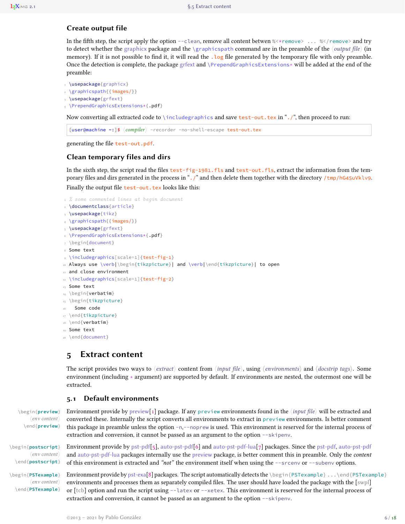## <span id="page-5-2"></span>**Create output file**

In the fifth step, the script apply the option --clean, remove all content betwen  $%$  \*\*\* remove> ...  $%$  /\* remove> and try to detect whether the graphicx package and the \graphicspath command are in the preamble of the 〈*output file*〉 (in memory). If it is not possible to find it, it will read the  $\log$  file generated by the temporary file with only preamble. Once the detection is complete, the package grfext and  $\PP$ rependGraphicsExtensions\* will be added at the end of the preamble:

```
1 \usepackage{graphicx}
```

```
2 \graphicspath{{images/}}
```

```
3 \usepackage{grfext}
```

```
4 \PrependGraphicsExtensions*{.pdf}
```
Now converting all extracted code to \includegraphics and save test-out.tex in "./", then proceed to run:

[user@machine **~**:]\$ 〈*compiler*〉 -recorder -no-shell-escape test-out.tex

generating the file test-out.pdf.

## **Clean temporary files and dirs**

In the sixth step, the script read the files test-fig-1981.fls and test-out.fls, extract the information from the temporary files and dirs generated in the process in ". /" and then delete them together with the directory  $/\text{tmp/hG45uVkU9}$ . Finally the output file test-out.tex looks like this:

```
1 % some commented lines at begin document
2 \documentclass{article}
3 \usepackage{tikz}
4 \graphicspath{{images/}}
5 \usepackage{grfext}
6 \PrependGraphicsExtensions*{.pdf}
7 \begin{document}
8 Some text
9 \includegraphics[scale=1]{test-fig-1}
10 Always use \verb|\begin{tikzpicture}| and \verb|\end{tikzpicture}| to open
11 and close environment
12 \includegraphics[scale=1]{test-fig-2}
13 Some text
14 \begin{verbatim}
15 \begin{tikzpicture}
16 Some code
17 \end{tikzpicture}
18 \end{verbatim}
19 Some text
20 \end{document}
```
# <span id="page-5-0"></span>**5 Extract content**

The script provides two ways to 〈*extract*〉 content from 〈*input file*〉, using 〈*environments*〉 and 〈*docstrip tags*〉. Some environment (including **\*** argument) are supported by default. If environments are nested, the outermost one will be extracted.

## <span id="page-5-1"></span>**5.1 Default environments**

\begin{**preview**} Environment provide by preview[\[1\]](#page-14-3) package. If any preview environments found in the 〈*input file*〉 will be extracted and 〈*env content*〉 \end{**preview**}

〈*env content*〉 \end{**postscript**}

〈*env content*〉 \end{**PSTexample**} converted these. Internally the script converts all environments to extract in preview environments. Is better comment this package in preamble unless the option -n,--noprew is used. This environment is reserved for the internal process of extraction and conversion, it cannot be passed as an argument to the option --skipenv.

\begin{**postscript**} Environment provide by pst-pdf[\[5\]](#page-14-7), auto-pst-pdf[\[6\]](#page-14-14) and auto-pst-pdf-lua[\[7\]](#page-14-15) packages. Since the pst-pdf, auto-pst-pdf and auto-pst-pdf-lua packages internally use the preview package, is better comment this in preamble. Only the *content* of this environment is extracted and *"not"* the environment itself when using the --srcenv or --subenv options.

\begin{**PSTexample**} Environment provide by pst-exa[\[8\]](#page-14-16) packages. The script automatically detects the \begin{PSTexample} ...\end{PSTexample} environments and processes them as separately compiled files. The user should have loaded the package with the [swpl] or [tcb] option and run the script using --latex or --xetex. This environment is reserved for the internal process of extraction and conversion, it cannot be passed as an argument to the option --skipenv.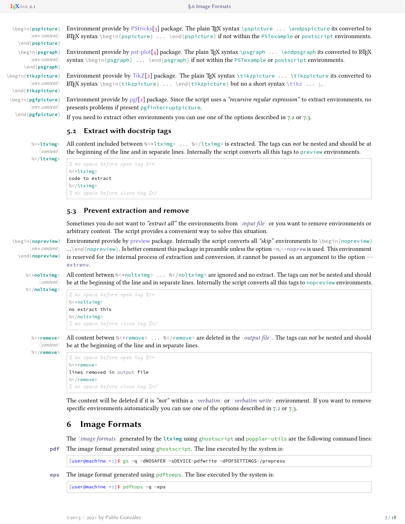| environi               | \begin{pspicture}               |
|------------------------|---------------------------------|
| LAT <sub>F</sub> X syr | $\langle$ env content $\rangle$ |
|                        | \end{pspicture}                 |
| Environi               | \begin{psgraph}                 |
| syntax $\setminus$     | $\langle$ env content $\rangle$ |
|                        | \end{psgraph}                   |
| Environ                | begin{tikzpicture}              |
| <b>L'IFX</b> syr       | $\langle$ env content $\rangle$ |
|                        | \end{tikzpicture}               |
| Environr               | \begin{pgfpicture}              |
| presents               | $\langle$ env content $\rangle$ |
| If you ne              | \end{pgfpicture}                |
|                        |                                 |

<span id="page-6-3"></span>**Environment provide by PStricks[\[3\]](#page-14-17) package. The plain TEX syntax** \pspicture ... \endpspicture its converted to htax \begin{pspicture} ... \end{pspicture} if not within the PSTexample or postscript environments.

 $\Phi$  ends provide by pst-plot[\[4\]](#page-14-18) package. The plain T<sub>EX</sub> syntax \psgraph ... \endpsgraph its converted to LATEX  $\begin{bmatrix} \begin{array}{c} \mathsf{begin}} \mathsf{begin}} \end{array} \end{bmatrix} \dots \end{bmatrix}$  and  $\begin{bmatrix} \mathsf{psgraph} \end{bmatrix}$  if not within the PSTexample or postscript environments.

\begin{**tikzpicture**} Environment provide by TikZ[\[2\]](#page-14-2) package. The plain TEX syntax \tikzpicture ... \tikzpicture its converted to htax \begin{tikzpicture} ... \end{tikzpicture} but no a short syntax \tikz ... ;.

\begin{**pgfpicture**} Environment provide by pgf[\[2\]](#page-14-2) package. Since the script uses a *"recursive regular expression"* to extract environments, no problems if present pgfinterruptpicture.

eed to extract other environments you can use one of the options described in [7.2](#page-7-2) or [7.3.](#page-10-0)

## <span id="page-6-0"></span>**5.2 Extract with docstrip tags**

〈*content*〉 %</**ltximg**>

%<\***ltximg**> All content included between **%**<**\***ltximg> ... **%**</ltximg> is extracted. The tags can *not* be nested and should be at the beginning of the line and in separate lines. Internally the script converts all this tags to preview environments.

```
% no space before open tag %<∗
%<*ltximg>
code to extract
%</ltximg>
% no space before close tag %</
```
#### <span id="page-6-1"></span>**5.3 Prevent extraction and remove**

Sometimes you do not want to *"extract all"* the environments from 〈*input file*〉 or you want to remove environments or arbitrary content. The script provides a convenient way to solve this situation.

\begin{**nopreview**} Environment provide by preview package. Internally the script converts all *"skip"* environments to \begin{nopreview} 〈*env content*〉 \end{**nopreview**} …\end{nopreview}. Is better comment this package in preamble unless the option -n,--noprew is used. This environment is reserved for the internal process of extraction and conversion, it cannot be passed as an argument to the option - extrenv.

%<\***noltximg**> All content betwen **%**<**\***noltximg> ... **%**</noltximg> are ignored and no extract. The tags can *not* be nested and should 〈*content*〉 be at the beginning of the line and in separate lines. Internally the script converts all this tags to nopreview environments.

```
% no space before open tag %<∗
%<*noltximg>
no extract this
%</noltximg>
% no space before close tag %</
```
〈*content*〉 %</**remove**>

%</**noltximg**>

%<\***remove**> All content betwen **%**<**\***remove> ... **%**</remove> are deleted in the 〈*output file*〉. The tags can *not* be nested and should be at the beginning of the line and in separate lines.

```
% no space before open tag %<∗
%<*remove>
lines removed in output file
%</remove>
% no space before close tag %</
```
The content will be deleted if it is *"not"* within a 〈*verbatim*〉 or 〈*verbatim write*〉 environment. If you want to remove specific environments automatically you can use one of the options described in [7.2](#page-7-2) or [7.3.](#page-10-0)

# <span id="page-6-2"></span>**6 Image Formats**

The 〈*image formats*〉 generated by the **ltximg** using ghostscript and poppler-utils are the following command lines:

**pdf** The image format generated using ghostscript. The line executed by the system is:

[user@machine **~**:]\$ gs -q -dNOSAFER -sDEVICE=pdfwrite -dPDFSETTINGS=/prepress

**eps** The image format generated using pdftoeps. The line executed by the system is:

[user@machine **~**:]\$ pdftops -q -eps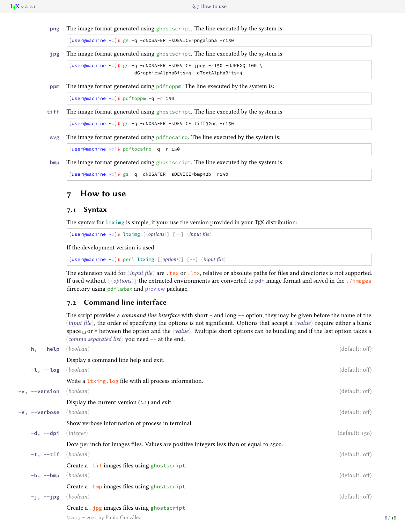<span id="page-7-3"></span>

[user@machine **~**:]\$ gs -q -dNOSAFER -sDEVICE=pngalpha -r150

**jpg** The image format generated using ghostscript. The line executed by the system is:

[user@machine **~**:]\$ gs -q -dNOSAFER -sDEVICE=jpeg -r150 -dJPEGQ=100 \ -dGraphicsAlphaBits=4 -dTextAlphaBits=4

**ppm** The image format generated using pdftoppm. The line executed by the system is:

[user@machine **~**:]\$ pdftoppm -q -r 150

**tiff** The image format generated using ghostscript. The line executed by the system is:

[user@machine **~**:]\$ gs -q -dNOSAFER -sDEVICE=tiff32nc -r150

**svg** The image format generated using pdftocairo. The line executed by the system is:

[user@machine **~**:]\$ pdftocairo -q -r 150

**bmp** The image format generated using ghostscript. The line executed by the system is:

```
[user@machine ~:]$ gs -q -dNOSAFER -sDEVICE=bmp32b -r150
```
## <span id="page-7-0"></span>**7 How to use**

#### <span id="page-7-1"></span>**7.1 Syntax**

The syntax for  $l$ tximg is simple, if your use the version provided in your T<sub>E</sub>X distribution:

[user@machine **~**:]\$ **ltximg** [〈*options*〉] [--] 〈*input file*〉

If the development version is used:

[user@machine **~**:]\$ perl **ltximg** [〈*options*〉] [--] 〈*input file*〉

The extension valid for  $\langle input\ file\rangle$  are .tex or .ltx, relative or absolute paths for files and directories is not supported. If used without [〈*options*〉] the extracted environments are converted to pdf image format and saved in the ./images directory using pdflatex and preview package.

## <span id="page-7-2"></span>**7.2 Command line interface**

The script provides a *command line interface* with short **-** and long **--** option, they may be given before the name of the 〈*input file*〉, the order of specifying the options is not significant. Options that accept a 〈*value*〉 require either a blank space  $\Box$  or = between the option and the  $\langle value \rangle$ . Multiple short options can be bundling and if the last option takes a 〈*comma separated list*〉 you need **--** at the end.

| $-h, -help \, \langle boolean \rangle$ |                                                                                          | (default: off) |      |
|----------------------------------------|------------------------------------------------------------------------------------------|----------------|------|
|                                        | Display a command line help and exit.                                                    |                |      |
| $-l$ , $-l$ og                         | $\langle boolean \rangle$                                                                | (default: off) |      |
|                                        | Write a ltximg. log file with all process information.                                   |                |      |
| $-v, -version$                         | $\langle boolean \rangle$                                                                | (default: off) |      |
|                                        | Display the current version $(2.1)$ and exit.                                            |                |      |
| -V, --verbose                          | $\langle boolean \rangle$                                                                | (default: off) |      |
|                                        | Show verbose information of process in terminal.                                         |                |      |
| $-d, -dpi$                             | $\langle$ integer $\rangle$                                                              | (default: 150) |      |
|                                        | Dots per inch for images files. Values are positive integers less than or equal to 2500. |                |      |
| $-t, -t$ if                            | $\langle boolean \rangle$                                                                | (default: off) |      |
|                                        | Create a .tif images files using ghostscript.                                            |                |      |
| $-b$ , $--b$ mp                        | $\langle boolean \rangle$                                                                | (default: off) |      |
|                                        | Create a .bmp images files using ghostscript.                                            |                |      |
| $-j$ , $-j$ pg                         | $\langle boolean \rangle$                                                                | (default: off) |      |
|                                        | Create a .jpg images files using ghostscript.                                            |                |      |
|                                        | $@2013 - 2021$ by Pablo González                                                         |                | 8/18 |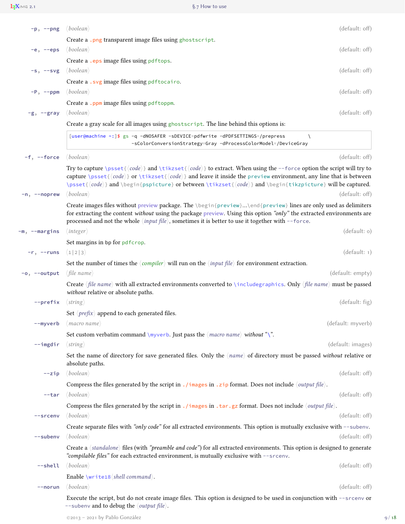<span id="page-8-0"></span>

| $-p, --png$     | $\langle boolean \rangle$                                                                                                                                                                                                                                                                                                                                                                                                                                                                                                                           | (default: off)    |
|-----------------|-----------------------------------------------------------------------------------------------------------------------------------------------------------------------------------------------------------------------------------------------------------------------------------------------------------------------------------------------------------------------------------------------------------------------------------------------------------------------------------------------------------------------------------------------------|-------------------|
|                 | Create a .png transparent image files using ghostscript.                                                                                                                                                                                                                                                                                                                                                                                                                                                                                            |                   |
| $-e,$ --eps     | $\langle boolean \rangle$                                                                                                                                                                                                                                                                                                                                                                                                                                                                                                                           | (default: off)    |
|                 | Create a .eps image files using pdftops.                                                                                                                                                                                                                                                                                                                                                                                                                                                                                                            |                   |
| $-s$ , $-svg$   | $\langle boolean \rangle$                                                                                                                                                                                                                                                                                                                                                                                                                                                                                                                           | (default: off)    |
|                 | Create a .svg image files using pdftocairo.                                                                                                                                                                                                                                                                                                                                                                                                                                                                                                         |                   |
| $-P$ , $-$ ppm  | $\langle boolean \rangle$                                                                                                                                                                                                                                                                                                                                                                                                                                                                                                                           | (default: off)    |
|                 | Create a .ppm image files using pdftoppm.                                                                                                                                                                                                                                                                                                                                                                                                                                                                                                           |                   |
| $-g$ , $-$ gray | $\langle boolean \rangle$                                                                                                                                                                                                                                                                                                                                                                                                                                                                                                                           | (default: off)    |
|                 | Create a gray scale for all images using ghostscript. The line behind this options is:                                                                                                                                                                                                                                                                                                                                                                                                                                                              |                   |
|                 | [user@machine ~:]\$ gs -q -dNOSAFER -sDEVICE=pdfwrite -dPDFSETTINGS=/prepress<br>-sColorConversionStrategy=Gray -dProcessColorModel=/DeviceGray                                                                                                                                                                                                                                                                                                                                                                                                     |                   |
| $-f, -force$    | $\langle boolean \rangle$                                                                                                                                                                                                                                                                                                                                                                                                                                                                                                                           | (default: off)    |
| $-n, -noprew$   | Try to capture \psset{ $\langle code \rangle$ } and \tikzset{ $\langle code \rangle$ } to extract. When using the --force option the script will try to<br>capture \psset{ $\{code\}$ } or \tikzset{ $\{code\}$ } and leave it inside the preview environment, any line that is between<br>$\psset({code})$ and $\begin{cases} \pset{code} \end{cases}$ and $\begin{cases} \pset{code} \end{cases}$<br>$\langle boolean \rangle$<br>Create images files without preview package. The \begin{preview}\end{preview} lines are only used as delimiters | (default: off)    |
|                 | for extracting the content without using the package preview. Using this option "only" the extracted environments are<br>processed and not the whole $\langle input file \rangle$ , sometimes it is better to use it together with --force.                                                                                                                                                                                                                                                                                                         |                   |
| -m, --margins   | $\langle$ integer $\rangle$                                                                                                                                                                                                                                                                                                                                                                                                                                                                                                                         | (default: o)      |
|                 | Set margins in bp for pdfcrop.                                                                                                                                                                                                                                                                                                                                                                                                                                                                                                                      |                   |
| $-r,$ --runs    | $\langle 1 2 3 \rangle$                                                                                                                                                                                                                                                                                                                                                                                                                                                                                                                             | (detault: 1)      |
|                 | Set the number of times the $\langle \textit{complex} \rangle$ will run on the $\langle \textit{input file} \rangle$ for environment extraction.                                                                                                                                                                                                                                                                                                                                                                                                    |                   |
| $-o, -output$   | $\langle$ file name $\rangle$                                                                                                                                                                                                                                                                                                                                                                                                                                                                                                                       | (default: empty)  |
|                 | Create (file name) with all extracted environments converted to \includegraphics. Only (file name) must be passed<br>without relative or absolute paths.                                                                                                                                                                                                                                                                                                                                                                                            |                   |
| --prefix        | $\langle$ string $\rangle$                                                                                                                                                                                                                                                                                                                                                                                                                                                                                                                          | (default: fig)    |
|                 | Set $\langle \text{prefix} \rangle$ append to each generated files.                                                                                                                                                                                                                                                                                                                                                                                                                                                                                 |                   |
| --myverb        | $\langle$ macro name $\rangle$                                                                                                                                                                                                                                                                                                                                                                                                                                                                                                                      | (default: myverb) |
|                 | Set custom verbatim command \myverb. Just pass the $\langle macro\ name\rangle$ without "\".                                                                                                                                                                                                                                                                                                                                                                                                                                                        |                   |
| $--imgdir$      | $\langle string \rangle$                                                                                                                                                                                                                                                                                                                                                                                                                                                                                                                            | (default: images) |
|                 | Set the name of directory for save generated files. Only the $\langle name \rangle$ of directory must be passed without relative or<br>absolute paths.                                                                                                                                                                                                                                                                                                                                                                                              |                   |
| $-zip$          | $\langle boolean \rangle$                                                                                                                                                                                                                                                                                                                                                                                                                                                                                                                           | (default: off)    |
|                 | Compress the files generated by the script in . / images in . zip format. Does not include $\langle output file \rangle$ .                                                                                                                                                                                                                                                                                                                                                                                                                          |                   |
| --tar           | $\langle boolean \rangle$                                                                                                                                                                                                                                                                                                                                                                                                                                                                                                                           | (default: off)    |
|                 | Compress the files generated by the script in . /images in . tar. gz format. Does not include $\langle output file \rangle$ .                                                                                                                                                                                                                                                                                                                                                                                                                       |                   |
| --srcenv        | $\langle boolean \rangle$                                                                                                                                                                                                                                                                                                                                                                                                                                                                                                                           | (default: off)    |
|                 | Create separate files with "only code" for all extracted environments. This option is mutually exclusive with --subenv.                                                                                                                                                                                                                                                                                                                                                                                                                             |                   |
| --subenv        | $\langle boolean \rangle$                                                                                                                                                                                                                                                                                                                                                                                                                                                                                                                           | (default: off)    |
|                 | Create a $\langle$ <i>standalone</i> $\rangle$ files (with <i>"preamble and code"</i> ) for all extracted environments. This option is designed to generate<br>"compilable files" for each extracted environment, is mutually exclusive with --srcenv.                                                                                                                                                                                                                                                                                              |                   |
| --shell         | $\langle boolean \rangle$                                                                                                                                                                                                                                                                                                                                                                                                                                                                                                                           | (default: off)    |
|                 | Enable \write18 $\shell$ command $\thinspace$ .                                                                                                                                                                                                                                                                                                                                                                                                                                                                                                     |                   |
| --norun         | $\langle boolean \rangle$                                                                                                                                                                                                                                                                                                                                                                                                                                                                                                                           | (default: off)    |
|                 | Execute the script, but do not create image files. This option is designed to be used in conjunction with --srcenv or                                                                                                                                                                                                                                                                                                                                                                                                                               |                   |
|                 | $--$ subenv and to debug the $\langle output file \rangle$ .                                                                                                                                                                                                                                                                                                                                                                                                                                                                                        |                   |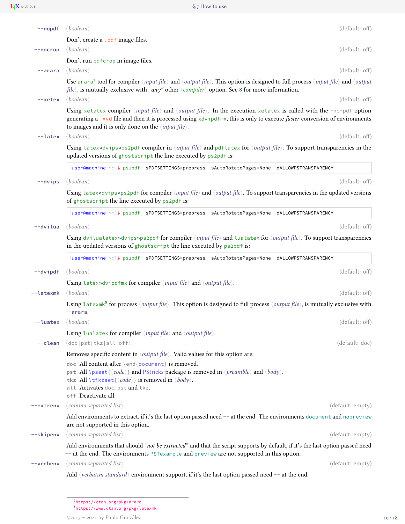$L_1\mathbf{X}$  M  $\leq$  2.1 §.7 How to use

<span id="page-9-2"></span>

| --nopdf                    | $\langle boolean \rangle$                                                                                                                                                                                                                                                                                                             | (default: off)   |
|----------------------------|---------------------------------------------------------------------------------------------------------------------------------------------------------------------------------------------------------------------------------------------------------------------------------------------------------------------------------------|------------------|
|                            | Don't create a .pdf image files.                                                                                                                                                                                                                                                                                                      |                  |
| $-$ -nocrop                | $\langle boolean \rangle$                                                                                                                                                                                                                                                                                                             | (default: off)   |
|                            | Don't run pdfcrop in image files.                                                                                                                                                                                                                                                                                                     |                  |
| $-$ arara                  | $\langle boolean \rangle$                                                                                                                                                                                                                                                                                                             | (default: off)   |
|                            | Use arara <sup>7</sup> tool for compiler $\langle input file \rangle$ and $\langle output file \rangle$ . This option is designed to full process $\langle input file \rangle$ and $\langle output$<br>file), is mutually exclusive with "any" other $\langle compiler \rangle$ option. See 8 for more information.                   |                  |
| --xetex                    | $\langle boolean \rangle$                                                                                                                                                                                                                                                                                                             | (default: off)   |
|                            | Using xelatex compiler (input file) and (output file). In the execution xelatex is called with the -no-pdf option<br>generating a .xvd file and then it is processed using xdvipdfmx, this is only to execute faster conversion of environments<br>to images and it is only done on the $\langle input file \rangle$ .                |                  |
| --latex                    | $\langle boolean \rangle$                                                                                                                                                                                                                                                                                                             | (default: off)   |
|                            | Using latex»dvips»ps2pdf compiler in $\langle input file \rangle$ and pdflatex for $\langle output file \rangle$ . To support transparencies in the<br>updated versions of ghostscript the line executed by ps2pdf is:                                                                                                                |                  |
|                            | [user@machine ~:]\$ ps2pdf -sPDFSETTINGS=prepress -sAutoRotatePages=None -dALLOWPSTRANSPARENCY                                                                                                                                                                                                                                        |                  |
| $-\frac{divips}{\sqrt{2}}$ | $\langle boolean \rangle$                                                                                                                                                                                                                                                                                                             | (default: off)   |
|                            | Using latex» dvips» ps2pdf for compiler $\langle input file \rangle$ and $\langle output file \rangle$ . To support transparencies in the updated versions<br>of ghostscript the line executed by ps2pdf is:                                                                                                                          |                  |
|                            | [user@machine ~: ]\$ ps2pdf -sPDFSETTINGS=prepress -sAutoRotatePages=None -dALLOWPSTRANSPARENCY                                                                                                                                                                                                                                       |                  |
| --dvilua                   | $\langle boolean \rangle$                                                                                                                                                                                                                                                                                                             | (default: off)   |
|                            | Using dvilualatex»dvips»ps2pdf for compiler $\langle input file \rangle$ and lualatex for $\langle output file \rangle$ . To support transparencies<br>in the updated versions of ghostscript the line executed by ps2pdf is:                                                                                                         |                  |
|                            | [user@machine ~:]\$ ps2pdf -sPDFSETTINGS=prepress -sAutoRotatePages=None -dALLOWPSTRANSPARENCY                                                                                                                                                                                                                                        |                  |
| $-dvipdf$                  | $\langle boolean \rangle$                                                                                                                                                                                                                                                                                                             | (default: off)   |
|                            | Using latex» dvipd fmx for compiler $\langle input file \rangle$ and $\langle output file \rangle$ .                                                                                                                                                                                                                                  |                  |
| --latexmk                  | $\langle boolean \rangle$                                                                                                                                                                                                                                                                                                             | (default: off)   |
|                            | Using latexmk <sup>8</sup> for process ( <i>output file</i> ). This option is designed to full process ( <i>output file</i> ), is mutually exclusive with<br>--arara.                                                                                                                                                                 |                  |
| --luatex                   | $\langle boolean \rangle$                                                                                                                                                                                                                                                                                                             | (default: off)   |
|                            | Using lualatex for compiler $\langle input file \rangle$ and $\langle output file \rangle$ .                                                                                                                                                                                                                                          |                  |
| --clean                    | $\langle$ doc   pst   tkz   all   off $\rangle$                                                                                                                                                                                                                                                                                       | (default: doc)   |
|                            | Removes specific content in $\langle output file \rangle$ . Valid values for this option are:                                                                                                                                                                                                                                         |                  |
|                            | doc All content after \end{document} is removed.<br>pst All \psset{ $\langle code \rangle$ } and PStricks package is removed in $\langle preempt \rangle$ and $\langle body \rangle$ .<br>tkz All \tikzset{ $\langle code \rangle$ } is removed in $\langle body \rangle$ .<br>all Activates doc, pst and tkz.<br>off Deactivate all. |                  |
| --extrenv                  | $\langle$ comma separated list $\rangle$                                                                                                                                                                                                                                                                                              | (default: empty) |
|                            | Add environments to extract, if it's the last option passed need -- at the end. The environments document and nopreview<br>are not supported in this option.                                                                                                                                                                          |                  |
| --skipenv                  | $\langle$ comma separated list $\rangle$                                                                                                                                                                                                                                                                                              | (default: empty) |
|                            | Add environments that should "not be extracted" and that the script supports by default, if it's the last option passed need<br>-- at the end. The environments PSTexample and preview are not supported in this option.                                                                                                              |                  |
| --verbenv                  | $\langle$ comma separated list $\rangle$                                                                                                                                                                                                                                                                                              | (default: empty) |
|                            | Add $\langle$ <i>verbatim standard</i> $\rangle$ environment support, if it's the last option passed need -- at the end.                                                                                                                                                                                                              |                  |

<span id="page-9-0"></span><sup>7</sup><https://ctan.org/pkg/arara>

<span id="page-9-1"></span><sup>8</sup><https://www.ctan.org/pkg/latexmk>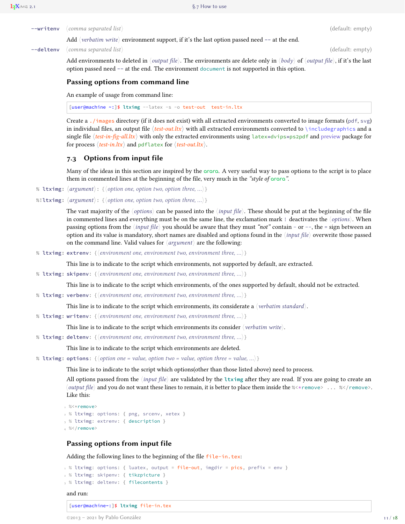|  | $\mathsf{--writtenv}$ (comma separated list) | (default: empty) |
|--|----------------------------------------------|------------------|
|--|----------------------------------------------|------------------|

<span id="page-10-1"></span>Add 〈*verbatim write*〉 environment support, if it's the last option passed need **--** at the end.

#### **--deltenv** 〈*comma separated list*〉 (default: empty)

Add environments to deleted in 〈*output file*〉. The environments are delete only in 〈*body*〉 of 〈*output file*〉, if it's the last option passed need **--** at the end. The environment document is not supported in this option.

#### **Passing options from command line**

An example of usage from command line:

[user@machine **~**:]\$ **ltximg** --latex -s -o test-out test-in.ltx

Create a ./images directory (if it does not exist) with all extracted environments converted to image formats (pdf, svg) in individual files, an output file  $\langle test-out.ltx \rangle$  with all extracted environments converted to  $\iota$  includegraphics and a single file 〈*test-in-fig-all.ltx*〉 with only the extracted environments using latex**»**dvips**»**ps2pdf and preview package for for process  $\langle test-in. Itx \rangle$  and pdflatex for  $\langle test-out. Itx \rangle$ .

#### <span id="page-10-0"></span>**7.3 Options from input file**

Many of the ideas in this section are inspired by the **arara**. A very useful way to pass options to the script is to place them in commented lines at the beginning of the file, very much in the *"style of* **arara***"*.

**% ltximg:** 〈*argument*〉: {〈*option one, option two, option three, …*〉}

**%!ltximg:** 〈*argument*〉: {〈*option one, option two, option three, …*〉}

The vast majority of the 〈*options*〉 can be passed into the 〈*input file*〉. These should be put at the beginning of the file in commented lines and everything must be on the same line, the exclamation mark ! deactivates the 〈*options*〉. When passing options from the 〈*input file*〉 you should be aware that they must *"not"* contain - or --, the = sign between an option and its value is mandatory, short names are disabled and options found in the 〈*input file*〉 overwrite those passed on the command line. Valid values for 〈*argument*〉 are the following:

**% ltximg: extrenv**: {〈*environment one, environment two, environment three, …*〉}

This line is to indicate to the script which environments, not supported by default, are extracted.

**% ltximg: skipenv**: {〈*environment one, environment two, environment three, …*〉}

This line is to indicate to the script which environments, of the ones supported by default, should not be extracted.

**% ltximg: verbenv**: {〈*environment one, environment two, environment three, …*〉}

This line is to indicate to the script which environments, its considerate a 〈*verbatim standard*〉.

**% ltximg: writenv**: {〈*environment one, environment two, environment three, …*〉}

This line is to indicate to the script which environments its consider 〈*verbatim write*〉.

**% ltximg: deltenv**: {〈*environment one, environment two, environment three, …*〉}

This line is to indicate to the script which environments are deleted.

**% ltximg: options**: {〈*option one = value, option two = value, option three = value, …*〉}

This line is to indicate to the script which options(other than those listed above) need to process.

All options passed from the 〈*input file*〉 are validated by the **ltximg** after they are read. If you are going to create an 〈*output file*〉 and you do not want these lines to remain, it is better to place them inside the **%**<**\***remove> ... **%**</remove>. Like this:

```
1 \frac{9}{6} < * remove>
2 % ltximg: options: { png, srcenv, xetex }
3 % ltximg: extrenv: { description }
4\% </remove>
```
#### **Passing options from input file**

Adding the following lines to the beginning of the file file-in.tex:

```
1 % ltximg: options: { luatex, output = file-out, imgdir = pics, prefix = env }
2 % ltximg: skipenv: { tikzpicture }
3 % ltximg: deltenv: { filecontents }
```
#### and run:

[user@machine**~**:]\$ **ltximg** file-in.tex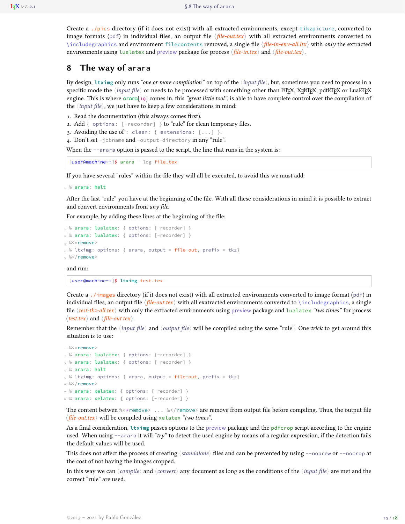<span id="page-11-1"></span>Create a ./pics directory (if it does not exist) with all extracted environments, except tikzpicture, converted to image formats (pdf) in individual files, an output file  $\langle f\hat{t}\hat{t}e\cdot\hat{t}dt\hat{t}$  with all extracted environments converted to \includegraphics and environment filecontents removed, a single file 〈*file-in-env-all.ltx*〉 with *only* the extracted environments using lualatex and preview package for process  $\langle$  *file-in.tex* $\rangle$  and  $\langle$  *file-out.tex* $\rangle$ .

# <span id="page-11-0"></span>**8 The way of arara**

By design, **ltximg** only runs *"one or more compilation"* on top of the 〈*input file*〉, but, sometimes you need to process in a specific mode the  $\langle input\ file\rangle$  or needs to be processed with something other than ET<sub>EX</sub>, X<sub>7</sub>ET<sub>E</sub>X, pdfET<sub>E</sub>X or LuaET<sub>E</sub>X engine. This is where **arara**[\[19\]](#page-14-19) comes in, this *"great little tool"*, is able to have complete control over the compilation of the  $\langle$ *input file* $\rangle$ , we just have to keep a few considerations in mind:

- 1. Read the documentation (this always comes first).
- 2. Add { options: [-recorder] } to "rule" for clean temporary files.
- 3. Avoiding the use of : clean: { extensions: [...] }.
- 4. Don't set -jobname and -output-directory in any "rule".

When the --arara option is passed to the script, the line that runs in the system is:

[user@machine**~**:]\$ arara --log file.tex

If you have several "rules" within the file they will all be executed, to avoid this we must add:

1 % arara: halt

After the last "rule" you have at the beginning of the file. With all these considerations in mind it is possible to extract and convert environments from *any file*.

For example, by adding these lines at the beginning of the file:

```
1 % arara: lualatex: { options: [-recorder] }
2 % arara: lualatex: { options: [-recorder] }
3 %<*remove>
4 % ltximg: options: { arara, output = file-out, prefix = tkz}
5\% </remove>
```
and run:

[user@machine**~**:]\$ **ltximg** test.tex

Create a ./images directory (if it does not exist) with all extracted environments converted to image format ( $pdf$ ) in individual files, an output file 〈*file-out.tex*〉 with all exatracted environments converted to \includegraphics, a single file 〈*test-tkz-all.tex*〉 with only the extracted environments using preview package and lualatex *"two times"* for process 〈*test.tex*〉 and 〈*file-out.tex*〉.

Remember that the 〈*input file*〉 and 〈*output file*〉 will be compiled using the same "rule". One *trick* to get around this situation is to use:

```
1 \frac{9}{6} < * remove>
2 % arara: lualatex: { options: [-recorder] }
3 % arara: lualatex: { options: [-recorder] }
4 % arara: halt
5 % ltximg: options: { arara, output = file-out, prefix = tkz}
6 \% < /remove>
7 % arara: xelatex: { options: [-recorder] }
8 % arara: xelatex: { options: [-recorder] }
```
The content betwen **%**<**\***remove> ... **%**</remove> are remove from output file before compiling. Thus, the output file 〈*file-out.tex*〉 will be compiled using xelatex *"two times"*.

As a final consideration, **ltximg** passes options to the preview package and the pdfcrop script according to the engine used. When using --arara it will *"try"* to detect the used engine by means of a regular expression, if the detection fails the default values will be used.

This does not affect the process of creating 〈*standalone*〉 files and can be prevented by using --noprew or --nocrop at the cost of not having the images cropped.

In this way we can 〈*compile*〉 and 〈*convert*〉 any document as long as the conditions of the 〈*input file*〉 are met and the correct "rule" are used.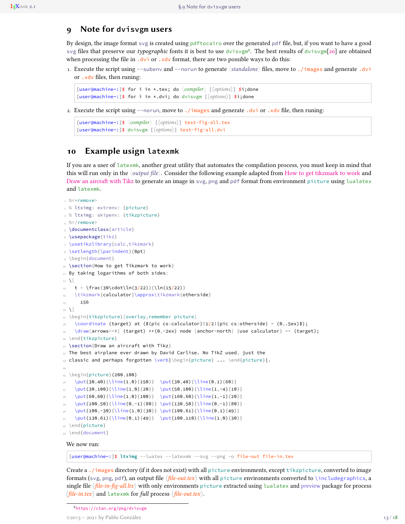## <span id="page-12-3"></span><span id="page-12-0"></span>**9 Note for dvisvgm users**

By design, the image format svg is created using pdftocairo over the generated pdf file, but, if you want to have a good svg files that preserve our *typographic* fonts it is best to use dvisvgm[9](#page-12-2) . The best results of dvisvgm[\[20\]](#page-14-20) are obtained when processing the file in  $.dvi$  or  $.xdv$  format, there are two possible ways to do this:

1. Execute the script using --subenv and --norun to generate 〈*standalone*〉 files, move to ./images and generate .dvi or .xdv files, then runing:

```
[user@machine~:]$ for i in *.tex; do 〈compiler〉 [〈options〉] $i;done
[user@machine~:]$ for i in *.dvi; do dvisvgm [〈options〉] $i;done
```
2. Execute the script using --norun, move to ./images and generate .dvi or .xdv file, then runing:

```
[user@machine~:]$ 〈compiler〉 [〈options〉] test-fig-all.tex
[user@machine~:]$ dvisvgm [〈options〉] test-fig-all.dvi
```
# <span id="page-12-1"></span>**10 Example usign latexmk**

If you are a user of latexmk, another great utility that automates the compilation process, you must keep in mind that this will run only in the 〈*output file*〉. Consider the following example adapted from [How to get tikzmark to work](https://tex.stackexchange.com/a/209059) and [Draw an aircraft with Tikz](https://tex.stackexchange.com/a/114847) to generate an image in svg, png and pdf format from environment picture using lualatex and latexmk.

```
1 %5 < r = move2 % ltximg: extrenv: {picture}
3 % ltximg: skipenv: {tikzpicture}
4% % < /remove>
5 \documentclass{article}
6 \usepackage{tikz}
7 \usetikzlibrary{calc,tikzmark}
8 \setlength{\parindent}{0pt}
9 \begin{document}
10 \section{How to get Tikzmark to work}
11 By taking logarithms of both sides:
12 \sqrt{2}t = \frac{30\cdot\ln(3/22)}{\ln(15/22)}14 \tikzmark{calculator}\approx\tikzmark{otherside}
15 156
16 \text{ } \sqrt{ }17 \begin{tikzpicture}[overlay,remember picture]
   \coordinate (target) at ($(pic cs:calculator)!1/2!(pic cs:otherside) - (0, .5e\times)$);
    19 \draw[arrows=->] (target) ++(0,-2ex) node [anchor=north] {use calculator} -- (target);
20 \end{tikzpicture}
21 \section{Draw an aircraft with Tikz}
22 The best airplane ever drawn by David Carlise. No TikZ used, just the
23 classic and perhaps forgotten \verb|\begin{picture} ... \end{picture}|.
24
25 \begin{picture}(200,100)
  26 \put(30,40){\line(1,0){150}} \put(30,40){\line(0,1){60}}
27 \put(30,100){\line(1,0){20}} \put(50,100){\line(1,-4){10}}
28 \put(60,60){\line(1,0){100}} \put(160,60){\line(1,-1){20}}
    29 \put(100,50){\line(0,-1){80}} \put(130,50){\line(0,-1){80}}
    30 \put(100,-30){\line(1,0){30}} \put(100,61){\line(0,1){49}}
    31 \put(130,61){\line(0,1){49}} \put(100,110){\line(1,0){30}}
32 \end{picture}
33 \end{document}
 We now run:
```
[user@machine**~**:]\$ **ltximg** --luatex --latexmk --svg --png -o file-out file-in.tex

Create a ./images directory (if it does not exist) with all picture environments, except tikzpicture, converted to image formats (svg, png, pdf), an output file 〈*file-out.tex*〉 with all picture environments converted to \includegraphics, a single file 〈*file-in-fig-all.ltx*〉 with only environments picture extracted using lualatex and preview package for process 〈*file-in.tex*〉 and latexmk for *full* process 〈*file-out.tex*〉.

<span id="page-12-2"></span><sup>9</sup><https://ctan.org/pkg/dvisvgm>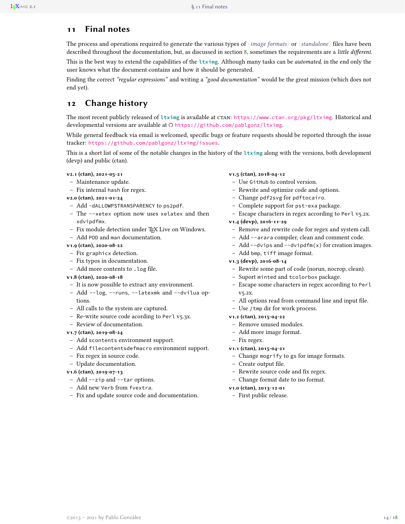# <span id="page-13-0"></span>**11 Final notes**

The process and operations required to generate the various types of 〈*image formats*〉 or 〈*standalone*〉 files have been described throughout the documentation, but, as discussed in section [8,](#page-11-0) sometimes the requirements are a *little different*. This is the best way to extend the capabilities of the **ltximg**. Although many tasks can be *automated*, in the end only the user knows what the document contains and how it should be generated.

Finding the correct *"regular expressions"* and writing a *"good documentation"* would be the great mission (which does not end yet).

# <span id="page-13-1"></span>**12 Change history**

The most recent publicly released of **ltximg** is available at ctan: <https://www.ctan.org/pkg/ltximg>. Historical and developmental versions are available at  $\bigcirc$  <https://github.com/pablgonz/ltximg>.

While general feedback via email is welcomed, specific bugs or feature requests should be reported through the issue tracker: <https://github.com/pablgonz/ltximg/issues>.

This is a short list of some of the notable changes in the history of the **ltximg** along with the versions, both development (devp) and public (ctan).

#### **v2.1 (ctan), 2021-05-21**

- Maintenance update.
- Fix internal hash for regex.

**v2.0 (ctan), 2021-01-24**

- Add -dALLOWPSTRANSPARENCY to ps2pdf.
- The --xetex option now uses xelatex and then xdvipdfmx.
- Fix module detection under TEX Live on Windows.
- Add POD and man documentation.

#### **v1.9 (ctan), 2020-08-22**

- Fix graphicx detection.
- Fix typos in documentation.
- Add more contents to .log file.

#### **v1.8 (ctan), 2020-08-18**

- It is now possible to extract any environment.
- Add --log, --runs, --latexmk and --dvilua options.
- All calls to the system are captured.
- Re-write source code acording to Perl v5.3x.
- Review of documentation.

#### **v1.7 (ctan), 2019-08-24**

- Add scontents environment support.
- Add filecontentsdefmacro environment support.
- Fix regex in source code.
- Update documentation.

#### **v1.6 (ctan), 2019-07-13**

- Add --zip and --tar options.
- Add new Verb from fvextra.
- Fix and update source code and documentation.

#### **v1.5 (ctan), 2018-04-12**

- Use GitHub to control version.
- Rewrite and optimize code and options.
- Change pdf2svg for pdftocairo.
- Complete support for pst-exa package.
- Escape characters in regex according to Perl v5.2x.

#### **v1.4 (devp), 2016-11-29**

- Remove and rewrite code for regex and system call.
- Add --arara compiler, clean and comment code.
- Add --dvips and --dvipdfm(x) for creation images.
- Add bmp, tiff image format.

#### **v1.3 (devp), 2016-08-14**

- Rewrite some part of code (norun, nocrop, clean).
- Suport minted and tcolorbox package.
- Escape some characters in regex according to Perl v5.2x.
- All options read from command line and input file.
- Use /tmp dir for work process.

#### **v1.2 (ctan), 2015-04-22**

- Remove unused modules.
- Add more image format.
- Fix regex.

**v1.1 (ctan), 2015-04-21**

- Change mogrify to gs for image formats.
- Create output file.
- Rewrite source code and fix regex.
- Change format date to iso format.
- **v1.0 (ctan), 2013-12-01**
- First public release.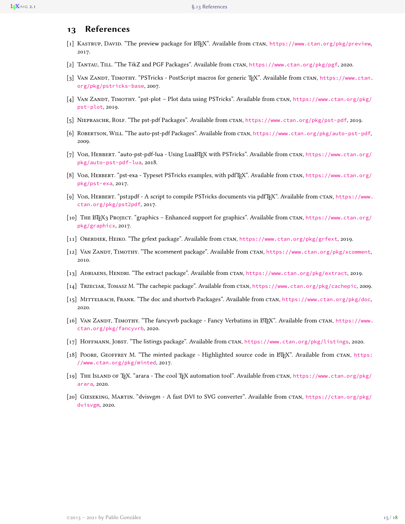# <span id="page-14-0"></span>**13 References**

- <span id="page-14-3"></span>[1] KASTRUP, DAVID. "The preview package for ETPX". Available from CTAN, <https://www.ctan.org/pkg/preview>, 2017.
- <span id="page-14-2"></span>[2] Tantau, Till. "The TikZ and PGF Packages". Available from ctan, <https://www.ctan.org/pkg/pgf>, 2020.
- <span id="page-14-17"></span>[3] VAN ZANDT, TIMOTHY. "PSTricks - PostScript macros for generic TEX". Available from CTAN, [https://www.ctan.](https://www.ctan.org/pkg/pstricks-base) [org/pkg/pstricks-base](https://www.ctan.org/pkg/pstricks-base), 2007.
- <span id="page-14-18"></span>[4] VAN ZANDT, TIMOTHY. "pst-plot – Plot data using PSTricks". Available from CTAN, [https://www.ctan.org/pkg/](https://www.ctan.org/pkg/pst-plot) [pst-plot](https://www.ctan.org/pkg/pst-plot), 2019.
- <span id="page-14-7"></span>[5] Niepraschk, Rolf. "The pst-pdf Packages". Available from ctan, <https://www.ctan.org/pkg/pst-pdf>, 2019.
- <span id="page-14-14"></span>[6] Robertson, Will. "The auto-pst-pdf Packages". Available from ctan, <https://www.ctan.org/pkg/auto-pst-pdf>, 2009.
- <span id="page-14-15"></span>[7] Voß, HERBERT. "auto-pst-pdf-lua - Using LuaLTEX with PSTricks". Available from CTAN, [https://www.ctan.org/](https://www.ctan.org/pkg/auto-pst-pdf-lua) [pkg/auto-pst-pdf-lua](https://www.ctan.org/pkg/auto-pst-pdf-lua), 2018.
- <span id="page-14-16"></span>[8] Voß, HERBERT. "pst-exa - Typeset PSTricks examples, with pdfTEX". Available from CTAN, [https://www.ctan.org/](https://www.ctan.org/pkg/pst-exa) [pkg/pst-exa](https://www.ctan.org/pkg/pst-exa), 2017.
- <span id="page-14-1"></span>[9] Voß, Herbert. "pst2pdf - A script to compile PSTricks documents via pdfTEX". Available from ctan, [https://www.](https://www.ctan.org/pkg/pst2pdf) [ctan.org/pkg/pst2pdf](https://www.ctan.org/pkg/pst2pdf), 2017.
- <span id="page-14-8"></span>[10] THE L'IEX3 PROJECT. "graphics – Enhanced support for graphics". Available from CTAN, [https://www.ctan.org/](https://www.ctan.org/pkg/graphicx) [pkg/graphicx](https://www.ctan.org/pkg/graphicx), 2017.
- <span id="page-14-9"></span>[11] Oberdiek, Heiko. "The grfext package". Available from ctan, <https://www.ctan.org/pkg/grfext>, 2019.
- <span id="page-14-4"></span>[12] VAN ZANDT, TIMOTHY. "The xcomment package". Available from CTAN, <https://www.ctan.org/pkg/xcomment>, 2010.
- <span id="page-14-5"></span>[13] Adriaens, Hendri. "The extract package". Available from ctan, <https://www.ctan.org/pkg/extract>, 2019.
- <span id="page-14-6"></span>[14] Trzeciak, Tomasz M. "The cachepic package". Available from ctan, <https://www.ctan.org/pkg/cachepic>, 2009.
- <span id="page-14-13"></span>[15] MITTELBACH, FRANK. "The doc and shortvrb Packages". Available from CTAN, <https://www.ctan.org/pkg/doc>, 2020.
- <span id="page-14-11"></span>[16] VAN ZANDT, TIMOTHY. "The fancyvrb package - Fancy Verbatims in ETEX". Available from CTAN, [https://www.](https://www.ctan.org/pkg/fancyvrb) [ctan.org/pkg/fancyvrb](https://www.ctan.org/pkg/fancyvrb), 2020.
- <span id="page-14-12"></span>[17] Hoffmann, Jobst. "The listings package". Available from ctan, <https://www.ctan.org/pkg/listings>, 2020.
- <span id="page-14-10"></span>[18] POORE, GEOFFREY M. "The minted package - Highlighted source code in ETFX". Available from CTAN, [https:](https://www.ctan.org/pkg/minted) [//www.ctan.org/pkg/minted](https://www.ctan.org/pkg/minted), 2017.
- <span id="page-14-19"></span>[19] THE ISLAND OF TEX. "arara - The cool TEX automation tool". Available from CTAN, [https://www.ctan.org/pkg/](https://www.ctan.org/pkg/arara) [arara](https://www.ctan.org/pkg/arara), 2020.
- <span id="page-14-20"></span>[20] Gieseking, Martin. "dvisvgm - A fast DVI to SVG converter". Available from ctan, [https://ctan.org/pkg/](https://ctan.org/pkg/dvisvgm) [dvisvgm](https://ctan.org/pkg/dvisvgm), 2020.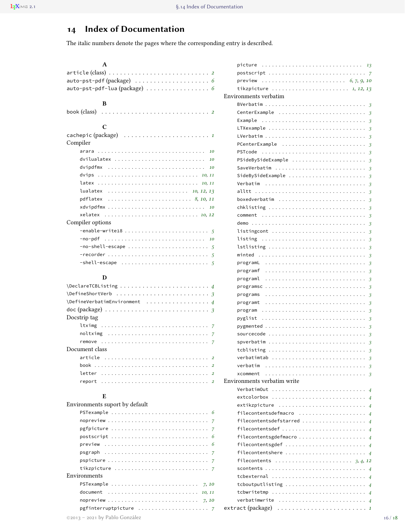# <span id="page-15-0"></span>**14 Index of Documentation**

The italic numbers denote the pages where the corresponding entry is described.

| A                                                                                     |                         |
|---------------------------------------------------------------------------------------|-------------------------|
|                                                                                       |                         |
| auto-pst-pdf (package)  6                                                             |                         |
| auto-pst-pdf-lua (package)  6                                                         |                         |
|                                                                                       |                         |
| В                                                                                     |                         |
| book (class)                                                                          |                         |
| C                                                                                     |                         |
|                                                                                       |                         |
| Compiler                                                                              |                         |
|                                                                                       |                         |
| dvilualatex  10                                                                       |                         |
| dvipdfmx $10$                                                                         |                         |
|                                                                                       |                         |
|                                                                                       |                         |
|                                                                                       |                         |
|                                                                                       |                         |
|                                                                                       |                         |
| xelatex  10, 12                                                                       |                         |
| Compiler options                                                                      |                         |
|                                                                                       |                         |
|                                                                                       |                         |
| $-no-shell-escape  \dots \dots \dots \dots \dots \dots \dots \dots$                   |                         |
|                                                                                       |                         |
|                                                                                       |                         |
|                                                                                       |                         |
| D                                                                                     |                         |
|                                                                                       |                         |
|                                                                                       |                         |
|                                                                                       |                         |
| doc (package) $\ldots \ldots \ldots \ldots \ldots \ldots \ldots \ldots \ldots \ldots$ |                         |
| Docstrip tag                                                                          |                         |
|                                                                                       |                         |
|                                                                                       |                         |
| remove                                                                                |                         |
| Document class                                                                        |                         |
| article  2                                                                            |                         |
| book                                                                                  | $\overline{2}$          |
| letter                                                                                | $\overline{\mathbf{2}}$ |
| report                                                                                | $\overline{2}$          |
| E                                                                                     |                         |
| Environments suport by default                                                        |                         |
| PSTexample                                                                            | 6                       |
|                                                                                       |                         |
| pgfpicture                                                                            | 7                       |
| $postscript  \dots \dots \dots \dots \dots \dots \dots \dots \dots \dots \dots \dots$ | 7<br>6                  |
| preview                                                                               | 6                       |
| psgraph                                                                               | 7                       |
| pspicture                                                                             | 7                       |
| tikzpicture                                                                           | 7                       |
| Environments                                                                          |                         |
|                                                                                       |                         |
|                                                                                       |                         |

| picture<br>.<br>13                                                                                                                                                    |
|-----------------------------------------------------------------------------------------------------------------------------------------------------------------------|
| postscript<br>- 7                                                                                                                                                     |
| preview                                                                                                                                                               |
| tikzpicture  1, 12, 13                                                                                                                                                |
| Environments verbatim                                                                                                                                                 |
| 3                                                                                                                                                                     |
| CenterExample<br>3                                                                                                                                                    |
| Example<br>3                                                                                                                                                          |
| LTXexample<br>$\ddot{\phantom{a}}$<br>3                                                                                                                               |
| LVerbatim<br>3<br>.<br>$\sim$ $\sim$ $\sim$                                                                                                                           |
| PCenterExample<br>3                                                                                                                                                   |
| PSTcode<br>3<br>$\sim$ $\sim$ $\sim$ $\sim$ $\sim$                                                                                                                    |
| PSideBySideExample<br>3                                                                                                                                               |
| SaveVerbatim<br>3<br>$\sim$ $\sim$ $\sim$ $\sim$ $\sim$                                                                                                               |
| SideBySideExample<br>3                                                                                                                                                |
| Verbatim<br>3<br>$\ddot{\phantom{a}}$<br>.                                                                                                                            |
| $\sim$ $\sim$ $\sim$ $\sim$ $\sim$<br>alltt<br>.                                                                                                                      |
| 3                                                                                                                                                                     |
| boxedverbatim<br>3                                                                                                                                                    |
| chklisting<br>3                                                                                                                                                       |
| comment<br>3                                                                                                                                                          |
| $demo \ldots \ldots$<br>3                                                                                                                                             |
| listingcont<br>3                                                                                                                                                      |
| listing<br>3                                                                                                                                                          |
| lstlisting<br>3                                                                                                                                                       |
| minted<br>3                                                                                                                                                           |
| programL<br>3                                                                                                                                                         |
| programf<br>3                                                                                                                                                         |
| programl<br>3<br>$\ddot{\phantom{1}}$ .<br>$\sim$ $\sim$ $\sim$ $\sim$ $\sim$<br>.                                                                                    |
| programsc<br>3<br>$\sim$ $\sim$<br>$\sim$ $\sim$ $\sim$ $\sim$ $\sim$                                                                                                 |
| programs<br>3<br>$\cdot$<br>$\sim$ $\sim$<br>$\alpha$ , and $\alpha$ , and $\alpha$ , and $\alpha$<br>$\sim$ $\sim$ $\sim$                                            |
| programt<br>3<br>$\cdot$<br>$\cdot$<br>$\cdot$<br>$\sim$ $\sim$<br>$\alpha$ , and $\alpha$ , and $\alpha$ , and $\alpha$<br>$\sim$ $\sim$ $\sim$                      |
| program<br>3<br>$\cdot$<br>$\cdot$<br>$\sim$ $\sim$<br>$\sim$ $\sim$ $\sim$<br>$\sim$ $\sim$ $\sim$ $\sim$ $\sim$<br>$\sim$ $\sim$                                    |
| pyglist<br>3<br>$\sim$ $\sim$ $\sim$ $\sim$ $\sim$<br>$\cdot$<br>$\cdot$<br>$\sim$ $\sim$ $\sim$ $\sim$ $\sim$<br>$\sim$ $\sim$                                       |
| pygmented<br>3<br>$\sim$ $\sim$<br>$\sim$ $\sim$<br>$\ddot{\phantom{1}}$ .<br>$\sim$ $\sim$ $\sim$ $\sim$ $\sim$<br>$\alpha$ , and $\alpha$ , and $\alpha$<br>$\cdot$ |
| sourcecode<br>3<br>$\ddot{\phantom{a}}$<br>$\cdot$<br>$\cdot$<br>$\sim$ $\sim$ $\sim$ $\sim$ $\sim$<br>$\alpha$ , and $\alpha$ , and $\alpha$ , and                   |
| spverbatim<br>3<br>$\ddot{\phantom{a}}$<br>$\cdot$<br>$\ddot{\phantom{a}}$<br>.<br>$\sim$ $\sim$ $\sim$                                                               |
| tcblisting<br>3                                                                                                                                                       |
|                                                                                                                                                                       |
| verbatim<br>$\overline{\mathbf{3}}$                                                                                                                                   |
| xcomment                                                                                                                                                              |
| Environments verbatim write                                                                                                                                           |
| VerbatimOut<br>$\overline{4}$                                                                                                                                         |
| $extcolorbox{red}{\bullet}$<br>$\overline{4}$                                                                                                                         |
| extikzpicture                                                                                                                                                         |
| $\overline{4}$<br>filecontentsdefmacro                                                                                                                                |
| $\overline{4}$                                                                                                                                                        |
| filecontentsdefstarred<br>$\overline{4}$                                                                                                                              |
| filecontentsdef<br>$\overline{4}$                                                                                                                                     |
| filecontentsgdefmacro<br>$\overline{4}$                                                                                                                               |
| filecontentsgdef<br>$\overline{4}$                                                                                                                                    |
| filecontentshere<br>$\overline{4}$                                                                                                                                    |
| filecontents $\ldots \ldots \ldots \ldots \ldots \ldots \ldots \ldots$ 3, 4, 12                                                                                       |
| $\overline{4}$                                                                                                                                                        |
| tcbexternal<br>$\overline{4}$                                                                                                                                         |
| tcboutputlisting $\ldots \ldots \ldots \ldots \ldots \ldots \ldots \ldots$<br>$\overline{4}$                                                                          |
| tcbwritetmp<br>$\overline{4}$                                                                                                                                         |
| verbatimwrite<br>$\overline{4}$                                                                                                                                       |
|                                                                                                                                                                       |

document . . . . . . . . . . . . . . . . . . . . . . . . . . . *[10,](#page-9-2) [11](#page-10-1)* nopreview . . . . . . . . . . . . . . . . . . . . . . . . . . . *[7](#page-6-3)*, *[10](#page-9-2)* pgfinterruptpicture . . . . . . . . . . . . . . . . . . . . . *[7](#page-6-3)*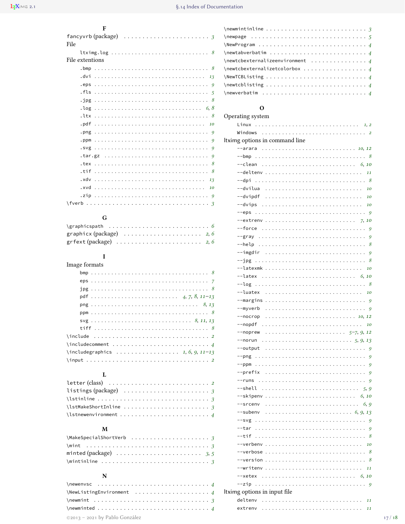| F                                                              |
|----------------------------------------------------------------|
| fancyvrb (package) $\ldots \ldots \ldots \ldots \ldots \ldots$ |
| File                                                           |
|                                                                |
| File extentions                                                |
|                                                                |
|                                                                |
|                                                                |
|                                                                |
|                                                                |
|                                                                |
|                                                                |
|                                                                |
|                                                                |
|                                                                |
|                                                                |
|                                                                |
|                                                                |
|                                                                |
|                                                                |
|                                                                |
|                                                                |
|                                                                |

# ${\bf G}$

| graphicx (package) $\ldots \ldots \ldots \ldots \ldots \ldots$ 2, 6         |  |  |  |  |  |  |  |  |  |  |  |  |
|-----------------------------------------------------------------------------|--|--|--|--|--|--|--|--|--|--|--|--|
| $gr$ fext (package) $\ldots \ldots \ldots \ldots \ldots \ldots \ldots$ 2, 6 |  |  |  |  |  |  |  |  |  |  |  |  |

# $\mathbf I$

| Image formats                                                                                                          |
|------------------------------------------------------------------------------------------------------------------------|
|                                                                                                                        |
|                                                                                                                        |
|                                                                                                                        |
|                                                                                                                        |
|                                                                                                                        |
|                                                                                                                        |
|                                                                                                                        |
|                                                                                                                        |
|                                                                                                                        |
| $\infty$ . $\infty$ . $\infty$ . $\infty$ . $\infty$ . $\infty$ . $\infty$ . $\infty$ . $\infty$ . $\infty$ . $\infty$ |
| $\in$ $\in$ $\{1, 6, 9, 11-13\}$                                                                                       |
|                                                                                                                        |

# $\mathbf L$

| listings (package) $\ldots \ldots \ldots \ldots \ldots \ldots \ldots$          |  |  |  |  |  |  |  |  |  |  |  |
|--------------------------------------------------------------------------------|--|--|--|--|--|--|--|--|--|--|--|
|                                                                                |  |  |  |  |  |  |  |  |  |  |  |
| $\texttt{listMakeShortInline} \dots \dots \dots \dots \dots \dots \dots \dots$ |  |  |  |  |  |  |  |  |  |  |  |
|                                                                                |  |  |  |  |  |  |  |  |  |  |  |

## $\mathbf M$

| minted (package) $\,\ldots\, \ldots\, \ldots\, \ldots\, \ldots\, \ldots\, \ldots\, \,3,\, 5$ |  |  |  |  |  |  |  |  |  |  |  |
|----------------------------------------------------------------------------------------------|--|--|--|--|--|--|--|--|--|--|--|
| \mintinline  3                                                                               |  |  |  |  |  |  |  |  |  |  |  |

# $\mathbf N$

| $\text{NewListingEnvironment} \dots \dots \dots \dots \dots \dots \ 4$                                                                                                                                                                                             |  |  |  |  |  |  |  |  |  |
|--------------------------------------------------------------------------------------------------------------------------------------------------------------------------------------------------------------------------------------------------------------------|--|--|--|--|--|--|--|--|--|
| $\neq$ $\neq$ $\neq$ $\neq$ $\neq$ $\neq$ $\neq$ $\neq$ $\neq$ $\neq$ $\neq$ $\neq$ $\neq$ $\neq$ $\neq$ $\neq$ $\neq$ $\neq$ $\neq$ $\neq$ $\neq$ $\neq$ $\neq$ $\neq$ $\neq$ $\neq$ $\neq$ $\neq$ $\neq$ $\neq$ $\neq$ $\neq$ $\neq$ $\neq$ $\neq$ $\neq$ $\neq$ |  |  |  |  |  |  |  |  |  |
|                                                                                                                                                                                                                                                                    |  |  |  |  |  |  |  |  |  |
| ©2013 - 2021 by Pablo González                                                                                                                                                                                                                                     |  |  |  |  |  |  |  |  |  |

| $\{\n    {\mathsf{newmint}}\n    {\mathsf{true}}\n    \ldots \ldots \ldots \ldots \ldots \mathsf{true}$                                                                                                                                                            |  |
|--------------------------------------------------------------------------------------------------------------------------------------------------------------------------------------------------------------------------------------------------------------------|--|
|                                                                                                                                                                                                                                                                    |  |
|                                                                                                                                                                                                                                                                    |  |
| $\neq$ $\geq$ $4$                                                                                                                                                                                                                                                  |  |
| $\{newtcbexternalizeenvironment      4$                                                                                                                                                                                                                            |  |
| $\{\n    new \texttt{c} \texttt{b}$ 4                                                                                                                                                                                                                              |  |
|                                                                                                                                                                                                                                                                    |  |
| $\neq$ $\neq$ $\neq$ $\neq$ $\neq$ $\neq$ $\neq$ $\neq$ $\neq$ $\neq$ $\neq$ $\neq$ $\neq$ $\neq$ $\neq$ $\neq$ $\neq$ $\neq$ $\neq$ $\neq$ $\neq$ $\neq$ $\neq$ $\neq$ $\neq$ $\neq$ $\neq$ $\neq$ $\neq$ $\neq$ $\neq$ $\neq$ $\neq$ $\neq$ $\neq$ $\neq$ $\neq$ |  |
|                                                                                                                                                                                                                                                                    |  |
|                                                                                                                                                                                                                                                                    |  |

# O<br>vstei

| Operating system                                                                          |
|-------------------------------------------------------------------------------------------|
|                                                                                           |
|                                                                                           |
| Itximg options in command line                                                            |
| $-$ arara  10, 12                                                                         |
|                                                                                           |
| --clean  6,10                                                                             |
| --deltenv <i>11</i>                                                                       |
| --dpi                                                                                     |
| --dvilua  10                                                                              |
|                                                                                           |
| --dvips  10                                                                               |
|                                                                                           |
|                                                                                           |
|                                                                                           |
|                                                                                           |
|                                                                                           |
|                                                                                           |
|                                                                                           |
|                                                                                           |
| $--$ latex  6,10                                                                          |
|                                                                                           |
| --luatex  10                                                                              |
| --margins  9                                                                              |
| $--myverb9$                                                                               |
| $-$ -nocrop  10, 12                                                                       |
| --nopdf  10                                                                               |
|                                                                                           |
|                                                                                           |
|                                                                                           |
|                                                                                           |
|                                                                                           |
|                                                                                           |
|                                                                                           |
|                                                                                           |
| $--$ skipenv  6, 10                                                                       |
| --srcenv                                                                                  |
|                                                                                           |
|                                                                                           |
| --tar                                                                                     |
| --tif                                                                                     |
| --verbenv  10                                                                             |
| --verbose $\ldots \ldots \ldots \ldots \ldots \ldots \ldots \ldots \ldots \ldots \quad 8$ |
|                                                                                           |
|                                                                                           |
| $-$ xetex  6,10                                                                           |
| --zip                                                                                     |
| Itximg options in input file                                                              |
| deltenv<br>11                                                                             |
| extrenv  11                                                                               |